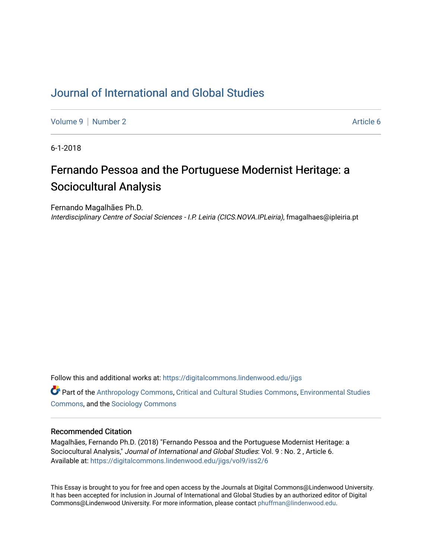## [Journal of International and Global Studies](https://digitalcommons.lindenwood.edu/jigs)

[Volume 9](https://digitalcommons.lindenwood.edu/jigs/vol9) | [Number 2](https://digitalcommons.lindenwood.edu/jigs/vol9/iss2) Article 6

6-1-2018

# Fernando Pessoa and the Portuguese Modernist Heritage: a Sociocultural Analysis

Fernando Magalhães Ph.D.

Interdisciplinary Centre of Social Sciences - I.P. Leiria (CICS.NOVA.IPLeiria), fmagalhaes@ipleiria.pt

Follow this and additional works at: [https://digitalcommons.lindenwood.edu/jigs](https://digitalcommons.lindenwood.edu/jigs?utm_source=digitalcommons.lindenwood.edu%2Fjigs%2Fvol9%2Fiss2%2F6&utm_medium=PDF&utm_campaign=PDFCoverPages) 

**C** Part of the [Anthropology Commons](http://network.bepress.com/hgg/discipline/318?utm_source=digitalcommons.lindenwood.edu%2Fjigs%2Fvol9%2Fiss2%2F6&utm_medium=PDF&utm_campaign=PDFCoverPages), [Critical and Cultural Studies Commons](http://network.bepress.com/hgg/discipline/328?utm_source=digitalcommons.lindenwood.edu%2Fjigs%2Fvol9%2Fiss2%2F6&utm_medium=PDF&utm_campaign=PDFCoverPages), Environmental Studies [Commons](http://network.bepress.com/hgg/discipline/1333?utm_source=digitalcommons.lindenwood.edu%2Fjigs%2Fvol9%2Fiss2%2F6&utm_medium=PDF&utm_campaign=PDFCoverPages), and the [Sociology Commons](http://network.bepress.com/hgg/discipline/416?utm_source=digitalcommons.lindenwood.edu%2Fjigs%2Fvol9%2Fiss2%2F6&utm_medium=PDF&utm_campaign=PDFCoverPages)

## Recommended Citation

Magalhães, Fernando Ph.D. (2018) "Fernando Pessoa and the Portuguese Modernist Heritage: a Sociocultural Analysis," Journal of International and Global Studies: Vol. 9 : No. 2 , Article 6. Available at: [https://digitalcommons.lindenwood.edu/jigs/vol9/iss2/6](https://digitalcommons.lindenwood.edu/jigs/vol9/iss2/6?utm_source=digitalcommons.lindenwood.edu%2Fjigs%2Fvol9%2Fiss2%2F6&utm_medium=PDF&utm_campaign=PDFCoverPages)

This Essay is brought to you for free and open access by the Journals at Digital Commons@Lindenwood University. It has been accepted for inclusion in Journal of International and Global Studies by an authorized editor of Digital Commons@Lindenwood University. For more information, please contact [phuffman@lindenwood.edu](mailto:phuffman@lindenwood.edu).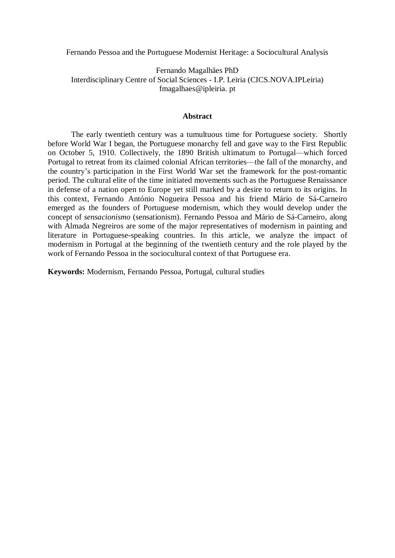Fernando Pessoa and the Portuguese Modernist Heritage: a Sociocultural Analysis

## Fernando Magalhães PhD Interdisciplinary Centre of Social Sciences - I.P. Leiria (CICS.NOVA.IPLeiria) fmagalhaes@ipleiria. pt

### **Abstract**

The early twentieth century was a tumultuous time for Portuguese society. Shortly before World War I began, the Portuguese monarchy fell and gave way to the First Republic on October 5, 1910. Collectively, the 1890 British ultimatum to Portugal—which forced Portugal to retreat from its claimed colonial African territories—the fall of the monarchy, and the country's participation in the First World War set the framework for the post-romantic period. The cultural elite of the time initiated movements such as the Portuguese Renaissance in defense of a nation open to Europe yet still marked by a desire to return to its origins. In this context, Fernando António Nogueira Pessoa and his friend Mário de Sá-Carneiro emerged as the founders of Portuguese modernism, which they would develop under the concept of *sensacionismo* (sensationism). Fernando Pessoa and Mário de Sá-Carneiro, along with Almada Negreiros are some of the major representatives of modernism in painting and literature in Portuguese-speaking countries. In this article, we analyze the impact of modernism in Portugal at the beginning of the twentieth century and the role played by the work of Fernando Pessoa in the sociocultural context of that Portuguese era.

**Keywords:** Modernism, Fernando Pessoa, Portugal, cultural studies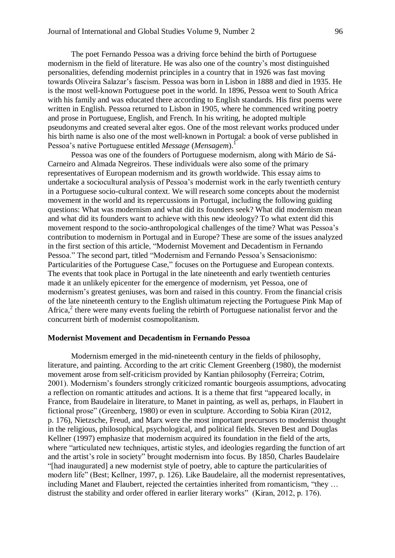The poet Fernando Pessoa was a driving force behind the birth of Portuguese modernism in the field of literature. He was also one of the country's most distinguished personalities, defending modernist principles in a country that in 1926 was fast moving towards Oliveira Salazar's fascism. Pessoa was born in Lisbon in 1888 and died in 1935. He is the most well-known Portuguese poet in the world. In 1896, Pessoa went to South Africa with his family and was educated there according to English standards. His first poems were written in English. Pessoa returned to Lisbon in 1905, where he commenced writing poetry and prose in Portuguese, English, and French. In his writing, he adopted multiple pseudonyms and created several alter egos. One of the most relevant works produced under his birth name is also one of the most well-known in Portugal: a book of verse published in Pessoa's native Portuguese entitled *Message* (*Mensagem*). 1

Pessoa was one of the founders of Portuguese modernism, along with Mário de Sá-Carneiro and Almada Negreiros. These individuals were also some of the primary representatives of European modernism and its growth worldwide. This essay aims to undertake a sociocultural analysis of Pessoa's modernist work in the early twentieth century in a Portuguese socio-cultural context. We will research some concepts about the modernist movement in the world and its repercussions in Portugal, including the following guiding questions: What was modernism and what did its founders seek? What did modernism mean and what did its founders want to achieve with this new ideology? To what extent did this movement respond to the socio-anthropological challenges of the time? What was Pessoa's contribution to modernism in Portugal and in Europe? These are some of the issues analyzed in the first section of this article, "Modernist Movement and Decadentism in Fernando Pessoa." The second part, titled "Modernism and Fernando Pessoa's Sensacionismo: Particularities of the Portuguese Case," focuses on the Portuguese and European contexts. The events that took place in Portugal in the late nineteenth and early twentieth centuries made it an unlikely epicenter for the emergence of modernism, yet Pessoa, one of modernism's greatest geniuses, was born and raised in this country. From the financial crisis of the late nineteenth century to the English ultimatum rejecting the Portuguese Pink Map of Africa,<sup>2</sup> there were many events fueling the rebirth of Portuguese nationalist fervor and the concurrent birth of modernist cosmopolitanism.

## **Modernist Movement and Decadentism in Fernando Pessoa**

Modernism emerged in the mid-nineteenth century in the fields of philosophy, literature, and painting. According to the art critic Clement Greenberg (1980), the modernist movement arose from self-criticism provided by Kantian philosophy (Ferreira; Cotrim, 2001). Modernism's founders strongly criticized romantic bourgeois assumptions, advocating a reflection on romantic attitudes and actions. It is a theme that first "appeared locally, in France, from Baudelaire in literature, to Manet in painting, as well as, perhaps, in Flaubert in fictional prose" (Greenberg, 1980) or even in sculpture. According to Sobia Kiran (2012, p. 176), Nietzsche, Freud, and Marx were the most important precursors to modernist thought in the religious, philosophical, psychological, and political fields. Steven Best and Douglas Kellner (1997) emphasize that modernism acquired its foundation in the field of the arts, where "articulated new techniques, artistic styles, and ideologies regarding the function of art and the artist's role in society" brought modernism into focus. By 1850, Charles Baudelaire "[had inaugurated] a new modernist style of poetry, able to capture the particularities of modern life" (Best; Kellner, 1997, p. 126). Like Baudelaire, all the modernist representatives, including Manet and Flaubert, rejected the certainties inherited from romanticism, "they … distrust the stability and order offered in earlier literary works" (Kiran, 2012, p. 176).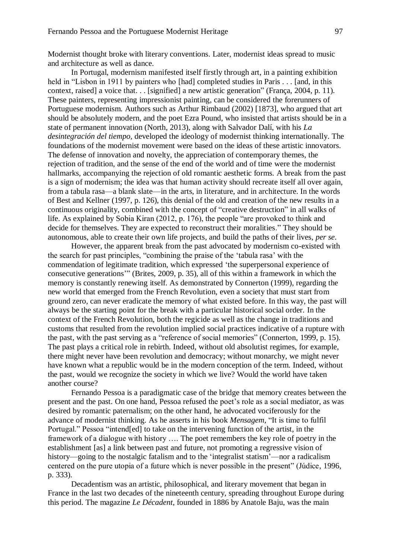Modernist thought broke with literary conventions. Later, modernist ideas spread to music and architecture as well as dance.

In Portugal, modernism manifested itself firstly through art, in a painting exhibition held in "Lisbon in 1911 by painters who [had] completed studies in Paris . . . [and, in this context, raised] a voice that. . . [signified] a new artistic generation" (França, 2004, p. 11). These painters, representing impressionist painting, can be considered the forerunners of Portuguese modernism. Authors such as Arthur Rimbaud (2002) [1873], who argued that art should be absolutely modern, and the poet Ezra Pound, who insisted that artists should be in a state of permanent innovation (North, 2013), along with Salvador Dalí, with his *La desintegración del tiempo,* developed the ideology of modernist thinking internationally. The foundations of the modernist movement were based on the ideas of these artistic innovators. The defense of innovation and novelty, the appreciation of contemporary themes, the rejection of tradition, and the sense of the end of the world and of time were the modernist hallmarks, accompanying the rejection of old romantic aesthetic forms. A break from the past is a sign of modernism; the idea was that human activity should recreate itself all over again, from a tabula rasa—a blank slate—in the arts, in literature, and in architecture. In the words of Best and Kellner (1997, p. 126), this denial of the old and creation of the new results in a continuous originality, combined with the concept of "creative destruction" in all walks of life. As explained by Sobia Kiran (2012, p. 176), the people "are provoked to think and decide for themselves. They are expected to reconstruct their moralities." They should be autonomous, able to create their own life projects, and build the paths of their lives, *per se*.

However, the apparent break from the past advocated by modernism co-existed with the search for past principles, "combining the praise of the 'tabula rasa' with the commendation of legitimate tradition, which expressed 'the superpersonal experience of consecutive generations'" (Brites, 2009, p. 35), all of this within a framework in which the memory is constantly renewing itself. As demonstrated by Connerton (1999), regarding the new world that emerged from the French Revolution, even a society that must start from ground zero, can never eradicate the memory of what existed before. In this way, the past will always be the starting point for the break with a particular historical social order. In the context of the French Revolution, both the regicide as well as the change in traditions and customs that resulted from the revolution implied social practices indicative of a rupture with the past, with the past serving as a "reference of social memories" (Connerton, 1999, p. 15). The past plays a critical role in rebirth. Indeed, without old absolutist regimes, for example, there might never have been revolution and democracy; without monarchy, we might never have known what a republic would be in the modern conception of the term. Indeed, without the past, would we recognize the society in which we live? Would the world have taken another course?

Fernando Pessoa is a paradigmatic case of the bridge that memory creates between the present and the past. On one hand, Pessoa refused the poet's role as a social mediator, as was desired by romantic paternalism; on the other hand, he advocated vociferously for the advance of modernist thinking. As he asserts in his book *Mensagem*, "It is time to fulfil Portugal." Pessoa "intend[ed] to take on the intervening function of the artist, in the framework of a dialogue with history …. The poet remembers the key role of poetry in the establishment [as] a link between past and future, not promoting a regressive vision of history—going to the nostalgic fatalism and to the 'integralist statism'—nor a radicalism centered on the pure utopia of a future which is never possible in the present" (Júdice, 1996, p. 333).

Decadentism was an artistic, philosophical, and literary movement that began in France in the last two decades of the nineteenth century, spreading throughout Europe during this period. The magazine *Le Décadent*, founded in 1886 by Anatole Baju, was the main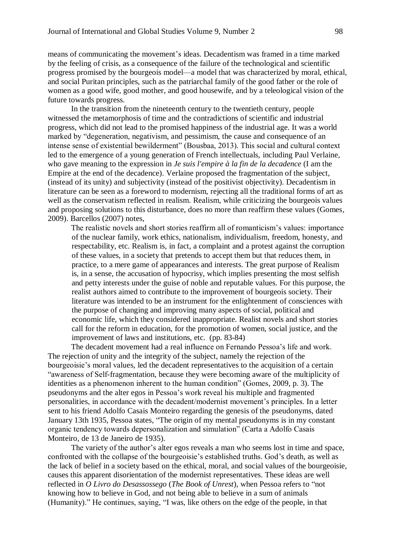means of communicating the movement's ideas. Decadentism was framed in a time marked by the feeling of crisis, as a consequence of the failure of the technological and scientific progress promised by the bourgeois model—a model that was characterized by moral, ethical, and social Puritan principles, such as the patriarchal family of the good father or the role of women as a good wife, good mother, and good housewife, and by a teleological vision of the future towards progress.

In the transition from the nineteenth century to the twentieth century, people witnessed the metamorphosis of time and the contradictions of scientific and industrial progress, which did not lead to the promised happiness of the industrial age. It was a world marked by "degeneration, negativism, and pessimism, the cause and consequence of an intense sense of existential bewilderment" (Bousbaa, 2013). This social and cultural context led to the emergence of a young generation of French intellectuals, including Paul Verlaine, who gave meaning to the expression in *Je suis l'empire à la fin de la decadence* (I am the Empire at the end of the decadence). Verlaine proposed the fragmentation of the subject, (instead of its unity) and subjectivity (instead of the positivist objectivity). Decadentism in literature can be seen as a foreword to modernism, rejecting all the traditional forms of art as well as the conservatism reflected in realism. Realism, while criticizing the bourgeois values and proposing solutions to this disturbance, does no more than reaffirm these values (Gomes, 2009). Barcellos (2007) notes,

The realistic novels and short stories reaffirm all of romanticism's values: importance of the nuclear family, work ethics, nationalism, individualism, freedom, honesty, and respectability, etc. Realism is, in fact, a complaint and a protest against the corruption of these values, in a society that pretends to accept them but that reduces them, in practice, to a mere game of appearances and interests. The great purpose of Realism is, in a sense, the accusation of hypocrisy, which implies presenting the most selfish and petty interests under the guise of noble and reputable values. For this purpose, the realist authors aimed to contribute to the improvement of bourgeois society. Their literature was intended to be an instrument for the enlightenment of consciences with the purpose of changing and improving many aspects of social, political and economic life, which they considered inappropriate. Realist novels and short stories call for the reform in education, for the promotion of women, social justice, and the improvement of laws and institutions, etc. (pp. 83-84)

The decadent movement had a real influence on Fernando Pessoa's life and work. The rejection of unity and the integrity of the subject, namely the rejection of the bourgeoisie's moral values, led the decadent representatives to the acquisition of a certain "awareness of Self-fragmentation, because they were becoming aware of the multiplicity of identities as a phenomenon inherent to the human condition" (Gomes, 2009, p. 3). The pseudonyms and the alter egos in Pessoa's work reveal his multiple and fragmented personalities, in accordance with the decadent/modernist movement's principles. In a letter sent to his friend Adolfo Casais Monteiro regarding the genesis of the pseudonyms, dated January 13th 1935, Pessoa states, "The origin of my mental pseudonyms is in my constant organic tendency towards depersonalization and simulation" (Carta a Adolfo Casais Monteiro, de 13 de Janeiro de 1935).

The variety of the author's alter egos reveals a man who seems lost in time and space, confronted with the collapse of the bourgeoisie's established truths. God's death, as well as the lack of belief in a society based on the ethical, moral, and social values of the bourgeoisie, causes this apparent disorientation of the modernist representatives. These ideas are well reflected in *O Livro do Desassossego* (*The Book of Unrest*), when Pessoa refers to "not knowing how to believe in God, and not being able to believe in a sum of animals (Humanity)." He continues, saying, "I was, like others on the edge of the people, in that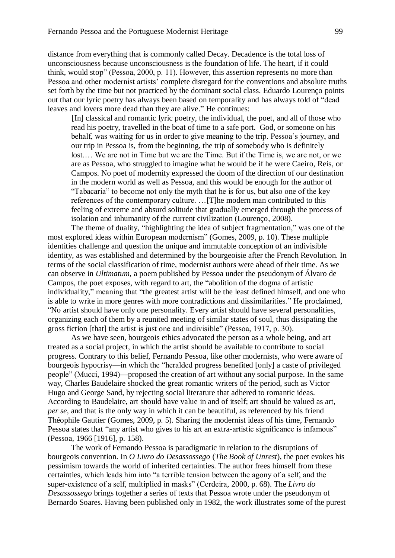distance from everything that is commonly called Decay. Decadence is the total loss of unconsciousness because unconsciousness is the foundation of life. The heart, if it could think, would stop" (Pessoa, 2000, p. 11). However, this assertion represents no more than Pessoa and other modernist artists' complete disregard for the conventions and absolute truths set forth by the time but not practiced by the dominant social class. Eduardo Lourenço points out that our lyric poetry has always been based on temporality and has always told of "dead leaves and lovers more dead than they are alive." He continues:

[In] classical and romantic lyric poetry, the individual, the poet, and all of those who read his poetry, travelled in the boat of time to a safe port. God, or someone on his behalf, was waiting for us in order to give meaning to the trip. Pessoa's journey, and our trip in Pessoa is, from the beginning, the trip of somebody who is definitely lost.… We are not in Time but we are the Time. But if the Time is, we are not, or we are as Pessoa, who struggled to imagine what he would be if he were Caeiro, Reis, or Campos. No poet of modernity expressed the doom of the direction of our destination in the modern world as well as Pessoa, and this would be enough for the author of "Tabacaria" to become not only the myth that he is for us, but also one of the key references of the contemporary culture. …[T]he modern man contributed to this feeling of extreme and absurd solitude that gradually emerged through the process of isolation and inhumanity of the current civilization (Lourenço, 2008).

The theme of duality, "highlighting the idea of subject fragmentation," was one of the most explored ideas within European modernism" (Gomes, 2009, p. 10). These multiple identities challenge and question the unique and immutable conception of an indivisible identity, as was established and determined by the bourgeoisie after the French Revolution. In terms of the social classification of time, modernist authors were ahead of their time. As we can observe in *Ultimatum*, a poem published by Pessoa under the pseudonym of Álvaro de Campos, the poet exposes, with regard to art, the "abolition of the dogma of artistic individuality," meaning that "the greatest artist will be the least defined himself, and one who is able to write in more genres with more contradictions and dissimilarities." He proclaimed, "No artist should have only one personality. Every artist should have several personalities, organizing each of them by a reunited meeting of similar states of soul, thus dissipating the gross fiction [that] the artist is just one and indivisible" (Pessoa, 1917, p. 30).

As we have seen, bourgeois ethics advocated the person as a whole being, and art treated as a social project, in which the artist should be available to contribute to social progress. Contrary to this belief, Fernando Pessoa, like other modernists, who were aware of bourgeois hypocrisy—in which the "heralded progress benefited [only] a caste of privileged people" (Mucci, 1994)—proposed the creation of art without any social purpose. In the same way, Charles Baudelaire shocked the great romantic writers of the period, such as Victor Hugo and George Sand, by rejecting social literature that adhered to romantic ideas. According to Baudelaire, art should have value in and of itself; art should be valued as art, *per se*, and that is the only way in which it can be beautiful, as referenced by his friend Théophile Gautier (Gomes, 2009, p. 5). Sharing the modernist ideas of his time, Fernando Pessoa states that "any artist who gives to his art an extra-artistic significance is infamous" (Pessoa, 1966 [1916], p. 158).

The work of Fernando Pessoa is paradigmatic in relation to the disruptions of bourgeois convention. In *O Livro do Desassossego* (*The Book of Unrest*), the poet evokes his pessimism towards the world of inherited certainties. The author frees himself from these certainties, which leads him into "a terrible tension between the agony of a self, and the super-existence of a self, multiplied in masks" (Cerdeira, 2000, p. 68). The *Livro do Desassossego* brings together a series of texts that Pessoa wrote under the pseudonym of Bernardo Soares. Having been published only in 1982, the work illustrates some of the purest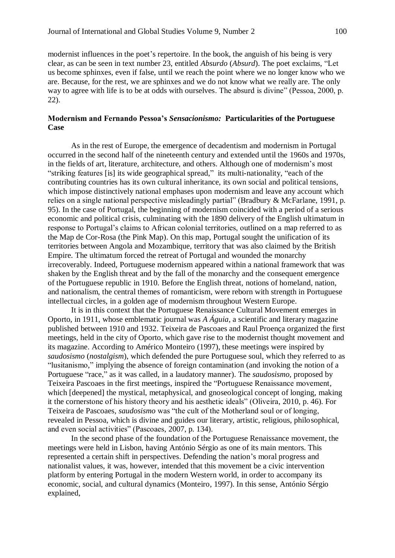modernist influences in the poet's repertoire. In the book, the anguish of his being is very clear, as can be seen in text number 23, entitled *Absurdo* (*Absurd*). The poet exclaims, "Let us become sphinxes, even if false, until we reach the point where we no longer know who we are. Because, for the rest, we are sphinxes and we do not know what we really are. The only way to agree with life is to be at odds with ourselves. The absurd is divine" (Pessoa, 2000, p. 22).

## **Modernism and Fernando Pessoa's** *Sensacionismo:* **Particularities of the Portuguese Case**

As in the rest of Europe, the emergence of decadentism and modernism in Portugal occurred in the second half of the nineteenth century and extended until the 1960s and 1970s, in the fields of art, literature, architecture, and others. Although one of modernism's most "striking features [is] its wide geographical spread," its multi-nationality, "each of the contributing countries has its own cultural inheritance, its own social and political tensions, which impose distinctively national emphases upon modernism and leave any account which relies on a single national perspective misleadingly partial" (Bradbury & McFarlane, 1991, p. 95). In the case of Portugal, the beginning of modernism coincided with a period of a serious economic and political crisis, culminating with the 1890 delivery of the English ultimatum in response to Portugal's claims to African colonial territories, outlined on a map referred to as the Map de Cor-Rosa (the Pink Map). On this map, Portugal sought the unification of its territories between Angola and Mozambique, territory that was also claimed by the British Empire. The ultimatum forced the retreat of Portugal and wounded the monarchy irrecoverably. Indeed, Portuguese modernism appeared within a national framework that was shaken by the English threat and by the fall of the monarchy and the consequent emergence of the Portuguese republic in 1910. Before the English threat, notions of homeland, nation, and nationalism, the central themes of romanticism, were reborn with strength in Portuguese intellectual circles, in a golden age of modernism throughout Western Europe.

It is in this context that the Portuguese Renaissance Cultural Movement emerges in Oporto, in 1911, whose emblematic journal was *A Águia*, a scientific and literary magazine published between 1910 and 1932. Teixeira de Pascoaes and Raul Proença organized the first meetings, held in the city of Oporto, which gave rise to the modernist thought movement and its magazine. According to Américo Monteiro (1997), these meetings were inspired by *saudosismo* (*nostalgism*), which defended the pure Portuguese soul, which they referred to as "lusitanismo," implying the absence of foreign contamination (and invoking the notion of a Portuguese "race," as it was called, in a laudatory manner). The *saudosismo*, proposed by Teixeira Pascoaes in the first meetings, inspired the "Portuguese Renaissance movement, which [deepened] the mystical, metaphysical, and gnoseological concept of longing, making it the cornerstone of his history theory and his aesthetic ideals" (Oliveira, 2010, p. 46). For Teixeira de Pascoaes, *saudosismo* was "the cult of the Motherland soul or of longing, revealed in Pessoa, which is divine and guides our literary, artistic, religious, philosophical, and even social activities" (Pascoaes, 2007, p. 134).

In the second phase of the foundation of the Portuguese Renaissance movement, the meetings were held in Lisbon, having António Sérgio as one of its main mentors. This represented a certain shift in perspectives. Defending the nation's moral progress and nationalist values, it was, however, intended that this movement be a civic intervention platform by entering Portugal in the modern Western world, in order to accompany its economic, social, and cultural dynamics (Monteiro, 1997). In this sense, António Sérgio explained,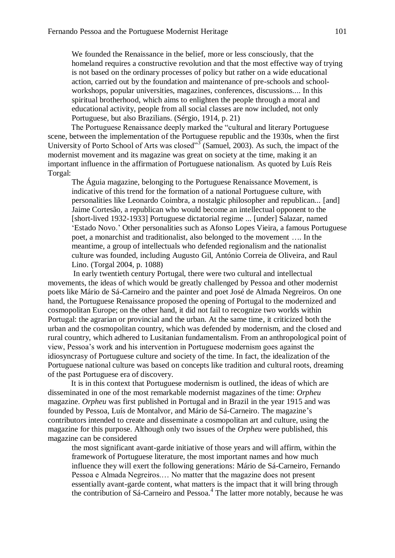We founded the Renaissance in the belief, more or less consciously, that the homeland requires a constructive revolution and that the most effective way of trying is not based on the ordinary processes of policy but rather on a wide educational action, carried out by the foundation and maintenance of pre-schools and schoolworkshops, popular universities, magazines, conferences, discussions.... In this spiritual brotherhood, which aims to enlighten the people through a moral and educational activity, people from all social classes are now included, not only Portuguese, but also Brazilians. (Sérgio, 1914, p. 21)

The Portuguese Renaissance deeply marked the "cultural and literary Portuguese scene, between the implementation of the Portuguese republic and the 1930s, when the first University of Porto School of Arts was closed" $3\sigma$  (Samuel, 2003). As such, the impact of the modernist movement and its magazine was great on society at the time, making it an important influence in the affirmation of Portuguese nationalism. As quoted by Luís Reis Torgal:

The Águia magazine, belonging to the Portuguese Renaissance Movement, is indicative of this trend for the formation of a national Portuguese culture, with personalities like Leonardo Coimbra, a nostalgic philosopher and republican... [and] Jaime Cortesão, a republican who would become an intellectual opponent to the [short-lived 1932-1933] Portuguese dictatorial regime ... [under] Salazar, named 'Estado Novo.' Other personalities such as Afonso Lopes Vieira, a famous Portuguese poet, a monarchist and traditionalist, also belonged to the movement …. In the meantime, a group of intellectuals who defended regionalism and the nationalist culture was founded, including Augusto Gil, António Correia de Oliveira, and Raul Lino. (Torgal 2004, p. 1088)

In early twentieth century Portugal, there were two cultural and intellectual movements, the ideas of which would be greatly challenged by Pessoa and other modernist poets like Mário de Sá-Carneiro and the painter and poet José de Almada Negreiros. On one hand, the Portuguese Renaissance proposed the opening of Portugal to the modernized and cosmopolitan Europe; on the other hand, it did not fail to recognize two worlds within Portugal: the agrarian or provincial and the urban. At the same time, it criticized both the urban and the cosmopolitan country, which was defended by modernism, and the closed and rural country, which adhered to Lusitanian fundamentalism. From an anthropological point of view, Pessoa's work and his intervention in Portuguese modernism goes against the idiosyncrasy of Portuguese culture and society of the time. In fact, the idealization of the Portuguese national culture was based on concepts like tradition and cultural roots, dreaming of the past Portuguese era of discovery.

It is in this context that Portuguese modernism is outlined, the ideas of which are disseminated in one of the most remarkable modernist magazines of the time: *Orpheu* magazine. *Orpheu* was first published in Portugal and in Brazil in the year 1915 and was founded by Pessoa, Luís de Montalvor, and Mário de Sá-Carneiro. The magazine's contributors intended to create and disseminate a cosmopolitan art and culture, using the magazine for this purpose. Although only two issues of the *Orpheu* were published, this magazine can be considered

the most significant avant-garde initiative of those years and will affirm, within the framework of Portuguese literature, the most important names and how much influence they will exert the following generations: Mário de Sá-Carneiro, Fernando Pessoa e Almada Negreiros.… No matter that the magazine does not present essentially avant-garde content, what matters is the impact that it will bring through the contribution of Sá-Carneiro and Pessoa.<sup>4</sup> The latter more notably, because he was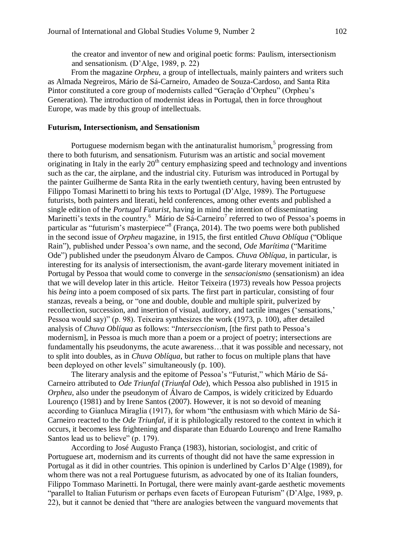the creator and inventor of new and original poetic forms: Paulism, intersectionism and sensationism. (D'Alge, 1989, p. 22)

From the magazine *Orpheu,* a group of intellectuals, mainly painters and writers such as Almada Negreiros, Mário de Sá-Carneiro, Amadeo de Souza-Cardoso, and Santa Rita Pintor constituted a core group of modernists called "Geração d'Orpheu" (Orpheu's Generation). The introduction of modernist ideas in Portugal, then in force throughout Europe, was made by this group of intellectuals.

#### **Futurism, Intersectionism, and Sensationism**

Portuguese modernism began with the antinaturalist humorism, $<sup>5</sup>$  progressing from</sup> there to both futurism, and sensationism. Futurism was an artistic and social movement originating in Italy in the early  $20<sup>th</sup>$  century emphasizing speed and technology and inventions such as the car, the airplane, and the industrial city. Futurism was introduced in Portugal by the painter Guilherme de Santa Rita in the early twentieth century, having been entrusted by Filippo Tomasi Marinetti to bring his texts to Portugal (D'Alge, 1989). The Portuguese futurists, both painters and literati, held conferences, among other events and published a single edition of the *Portugal Futurist*, having in mind the intention of disseminating Marinetti's texts in the country.<sup>6</sup> Mário de Sá-Carneiro<sup>7</sup> referred to two of Pessoa's poems in particular as "futurism's masterpiece"<sup>8</sup> (França, 2014). The two poems were both published in the second issue of *Orpheu* magazine, in 1915, the first entitled *Chuva Oblíqua* ("Oblique Rain"), published under Pessoa's own name, and the second, *Ode Marítima* ("Maritime Ode") published under the pseudonym Álvaro de Campos*. Chuva Oblíqua*, in particular, is interesting for its analysis of intersectionism, the avant-garde literary movement initiated in Portugal by Pessoa that would come to converge in the *sensacionismo* (sensationism) an idea that we will develop later in this article. Heitor Teixeira (1973) reveals how Pessoa projects his *being* into a poem composed of six parts. The first part in particular, consisting of four stanzas, reveals a being, or "one and double, double and multiple spirit, pulverized by recollection, succession, and insertion of visual, auditory, and tactile images ('sensations,' Pessoa would say)" (p. 98). Teixeira synthesizes the work (1973, p. 100), after detailed analysis of *Chuva Oblíqua* as follows: "*Interseccionism*, [the first path to Pessoa's modernism], in Pessoa is much more than a poem or a project of poetry; intersections are fundamentally his pseudonyms, the acute awareness…that it was possible and necessary, not to split into doubles, as in *Chuva Oblíqua*, but rather to focus on multiple plans that have been deployed on other levels" simultaneously (p. 100).

The literary analysis and the epitome of Pessoa's "Futurist," which Mário de Sá-Carneiro attributed to *Ode Triunfal* (*Triunfal Ode*), which Pessoa also published in 1915 in *Orpheu*, also under the pseudonym of Álvaro de Campos, is widely criticized by Eduardo Lourenço (1981) and by Irene Santos (2007). However, it is not so devoid of meaning according to Gianluca Miraglia (1917), for whom "the enthusiasm with which Mário de Sá-Carneiro reacted to the *Ode Triunfal*, if it is philologically restored to the context in which it occurs, it becomes less frightening and disparate than Eduardo Lourenço and Irene Ramalho Santos lead us to believe" (p. 179).

According to José Augusto França (1983), historian, sociologist, and critic of Portuguese art, modernism and its currents of thought did not have the same expression in Portugal as it did in other countries. This opinion is underlined by Carlos D'Alge (1989), for whom there was not a real Portuguese futurism, as advocated by one of its Italian founders, Filippo Tommaso Marinetti. In Portugal, there were mainly avant-garde aesthetic movements "parallel to Italian Futurism or perhaps even facets of European Futurism" (D'Alge, 1989, p. 22), but it cannot be denied that "there are analogies between the vanguard movements that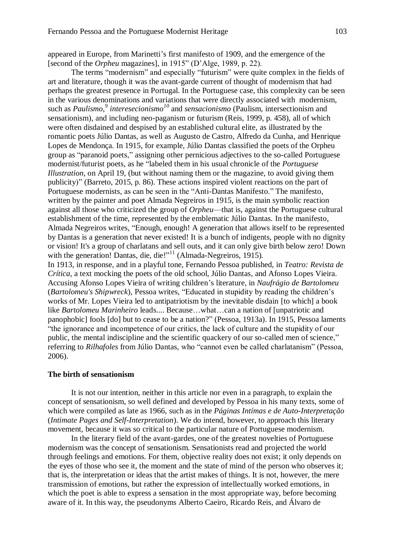appeared in Europe, from Marinetti's first manifesto of 1909, and the emergence of the [second of the *Orpheu* magazines], in 1915" (D'Alge, 1989, p. 22).

The terms "modernism" and especially "futurism" were quite complex in the fields of art and literature, though it was the avant-garde current of thought of modernism that had perhaps the greatest presence in Portugal. In the Portuguese case, this complexity can be seen in the various denominations and variations that were directly associated with modernism, such as *Paulismo*,<sup>9</sup> interesecionismo<sup>10</sup> and *sensacionismo* (Paulism, intersectionism and sensationism), and including neo-paganism or futurism (Reis, 1999, p. 458), all of which were often disdained and despised by an established cultural elite, as illustrated by the romantic poets Júlio Dantas, as well as Augusto de Castro, Alfredo da Cunha, and Henrique Lopes de Mendonça. In 1915, for example, Júlio Dantas classified the poets of the Orpheu group as "paranoid poets," assigning other pernicious adjectives to the so-called Portuguese modernist/futurist poets, as he "labeled them in his usual chronicle of the *Portuguese Illustration*, on April 19, (but without naming them or the magazine, to avoid giving them publicity)" (Barreto, 2015, p. 86). These actions inspired violent reactions on the part of Portuguese modernists, as can be seen in the "Anti-Dantas Manifesto." The manifesto, written by the painter and poet Almada Negreiros in 1915, is the main symbolic reaction against all those who criticized the group of *Orpheu*—that is, against the Portuguese cultural establishment of the time, represented by the emblematic Júlio Dantas. In the manifesto, Almada Negreiros writes, "Enough, enough! A generation that allows itself to be represented by Dantas is a generation that never existed! It is a bunch of indigents, people with no dignity or vision! It's a group of charlatans and sell outs, and it can only give birth below zero! Down with the generation! Dantas, die, die!"<sup>11</sup> (Almada-Negreiros, 1915).

In 1913, in response, and in a playful tone, Fernando Pessoa published, in *Teatro: Revista de Crítica*, a text mocking the poets of the old school, Júlio Dantas, and Afonso Lopes Vieira. Accusing Afonso Lopes Vieira of writing children's literature, in *Naufrágio de Bartolomeu* (*Bartolomeu's Shipwreck*), Pessoa writes, "Educated in stupidity by reading the children's works of Mr. Lopes Vieira led to antipatriotism by the inevitable disdain [to which] a book like *Bartolomeu Marinheiro* leads.... Because…what…can a nation of [unpatriotic and panophobic] fools [do] but to cease to be a nation?" (Pessoa, 1913a). In 1915, Pessoa laments "the ignorance and incompetence of our critics, the lack of culture and the stupidity of our public, the mental indiscipline and the scientific quackery of our so-called men of science," referring to *Rilhafoles* from Júlio Dantas, who "cannot even be called charlatanism" (Pessoa, 2006).

## **The birth of sensationism**

It is not our intention, neither in this article nor even in a paragraph, to explain the concept of sensationism, so well defined and developed by Pessoa in his many texts, some of which were compiled as late as 1966, such as in the *Páginas Intímas e de Auto-Interpretação* (*Intimate Pages and Self-Interpretation*). We do intend, however, to approach this literary movement, because it was so critical to the particular nature of Portuguese modernism.

In the literary field of the avant-gardes, one of the greatest novelties of Portuguese modernism was the concept of sensationism. Sensationists read and projected the world through feelings and emotions. For them, objective reality does not exist; it only depends on the eyes of those who see it, the moment and the state of mind of the person who observes it; that is, the interpretation or ideas that the artist makes of things. It is not, however, the mere transmission of emotions, but rather the expression of intellectually worked emotions, in which the poet is able to express a sensation in the most appropriate way, before becoming aware of it. In this way, the pseudonyms Alberto Caeiro, Ricardo Reis, and Álvaro de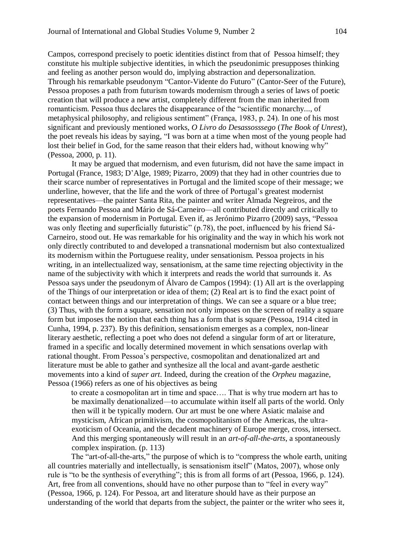Campos, correspond precisely to poetic identities distinct from that of Pessoa himself; they constitute his multiple subjective identities, in which the pseudonimic presupposes thinking and feeling as another person would do, implying abstraction and depersonalization. Through his remarkable pseudonym "Cantor-Vidente do Futuro" (Cantor-Seer of the Future), Pessoa proposes a path from futurism towards modernism through a series of laws of poetic creation that will produce a new artist, completely different from the man inherited from romanticism. Pessoa thus declares the disappearance of the "scientific monarchy..., of metaphysical philosophy, and religious sentiment" (França, 1983, p. 24). In one of his most significant and previously mentioned works, *O Livro do Desassosssego* (*The Book of Unrest*), the poet reveals his ideas by saying, "I was born at a time when most of the young people had lost their belief in God, for the same reason that their elders had, without knowing why" (Pessoa, 2000, p. 11).

It may be argued that modernism, and even futurism, did not have the same impact in Portugal (France, 1983; D'Alge, 1989; Pizarro, 2009) that they had in other countries due to their scarce number of representatives in Portugal and the limited scope of their message; we underline, however, that the life and the work of three of Portugal's greatest modernist representatives—the painter Santa Rita, the painter and writer Almada Negreiros, and the poets Fernando Pessoa and Mário de Sá-Carneiro—all contributed directly and critically to the expansion of modernism in Portugal. Even if, as Jerónimo Pizarro (2009) says, "Pessoa was only fleeting and superficially futuristic" (p.78), the poet, influenced by his friend Sá-Carneiro, stood out. He was remarkable for his originality and the way in which his work not only directly contributed to and developed a transnational modernism but also contextualized its modernism within the Portuguese reality, under sensationism. Pessoa projects in his writing, in an intellectualized way, sensationism, at the same time rejecting objectivity in the name of the subjectivity with which it interprets and reads the world that surrounds it. As Pessoa says under the pseudonym of Álvaro de Campos (1994): (1) All art is the overlapping of the Things of our interpretation or idea of them; (2) Real art is to find the exact point of contact between things and our interpretation of things. We can see a square or a blue tree; (3) Thus, with the form a square, sensation not only imposes on the screen of reality a square form but imposes the notion that each thing has a form that is square (Pessoa, 1914 cited in Cunha, 1994, p. 237). By this definition, sensationism emerges as a complex, non-linear literary aesthetic, reflecting a poet who does not defend a singular form of art or literature, framed in a specific and locally determined movement in which sensations overlap with rational thought. From Pessoa's perspective, cosmopolitan and denationalized art and literature must be able to gather and synthesize all the local and avant-garde aesthetic movements into a kind of *super art*. Indeed, during the creation of the *Orpheu* magazine, Pessoa (1966) refers as one of his objectives as being

to create a cosmopolitan art in time and space…. That is why true modern art has to be maximally denationalized—to accumulate within itself all parts of the world. Only then will it be typically modern. Our art must be one where Asiatic malaise and mysticism, African primitivism, the cosmopolitanism of the Americas, the ultraexoticism of Oceania, and the decadent machinery of Europe merge, cross, intersect. And this merging spontaneously will result in an *art-of-all-the-arts*, a spontaneously complex inspiration. (p. 113)

The "art-of-all-the-arts," the purpose of which is to "compress the whole earth, uniting all countries materially and intellectually, is sensationism itself" (Matos, 2007), whose only rule is "to be the synthesis of everything"; this is from all forms of art (Pessoa, 1966, p. 124). Art, free from all conventions, should have no other purpose than to "feel in every way" (Pessoa, 1966, p. 124). For Pessoa, art and literature should have as their purpose an understanding of the world that departs from the subject, the painter or the writer who sees it,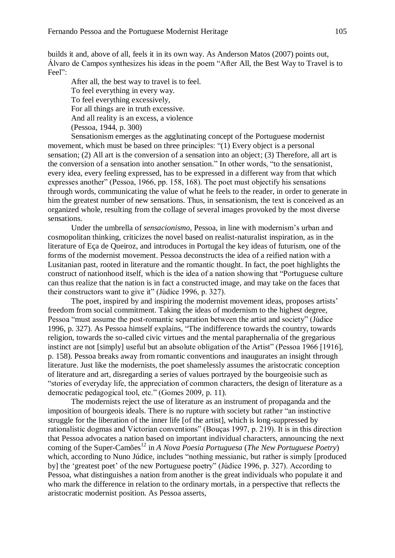builds it and, above of all, feels it in its own way. As Anderson Matos (2007) points out, Álvaro de Campos synthesizes his ideas in the poem "After All, the Best Way to Travel is to Feel":

After all, the best way to travel is to feel. To feel everything in every way. To feel everything excessively, For all things are in truth excessive. And all reality is an excess, a violence (Pessoa, 1944, p. 300)

Sensationism emerges as the agglutinating concept of the Portuguese modernist movement, which must be based on three principles: "(1) Every object is a personal sensation; (2) All art is the conversion of a sensation into an object; (3) Therefore, all art is the conversion of a sensation into another sensation." In other words, "to the sensationist, every idea, every feeling expressed, has to be expressed in a different way from that which expresses another" (Pessoa, 1966, pp. 158, 168). The poet must objectify his sensations through words, communicating the value of what he feels to the reader, in order to generate in him the greatest number of new sensations. Thus, in sensationism, the text is conceived as an organized whole, resulting from the collage of several images provoked by the most diverse sensations.

Under the umbrella of *sensacionismo*, Pessoa, in line with modernism's urban and cosmopolitan thinking, criticizes the novel based on realist-naturalist inspiration, as in the literature of Eça de Queiroz, and introduces in Portugal the key ideas of futurism, one of the forms of the modernist movement. Pessoa deconstructs the idea of a reified nation with a Lusitanian past, rooted in literature and the romantic thought. In fact, the poet highlights the construct of nationhood itself, which is the idea of a nation showing that "Portuguese culture can thus realize that the nation is in fact a constructed image, and may take on the faces that their constructors want to give it" (Júdice 1996, p. 327).

The poet, inspired by and inspiring the modernist movement ideas, proposes artists' freedom from social commitment. Taking the ideas of modernism to the highest degree, Pessoa "must assume the post-romantic separation between the artist and society" (Júdice 1996, p. 327). As Pessoa himself explains, "The indifference towards the country, towards religion, towards the so-called civic virtues and the mental paraphernalia of the gregarious instinct are not [simply] useful but an absolute obligation of the Artist" (Pessoa 1966 [1916], p. 158). Pessoa breaks away from romantic conventions and inaugurates an insight through literature. Just like the modernists, the poet shamelessly assumes the aristocratic conception of literature and art, disregarding a series of values portrayed by the bourgeoisie such as "stories of everyday life, the appreciation of common characters, the design of literature as a democratic pedagogical tool, etc." (Gomes 2009, p. 11).

The modernists reject the use of literature as an instrument of propaganda and the imposition of bourgeois ideals. There is no rupture with society but rather "an instinctive struggle for the liberation of the inner life [of the artist], which is long-suppressed by rationalistic dogmas and Victorian conventions" (Bouças 1997, p. 219). It is in this direction that Pessoa advocates a nation based on important individual characters, announcing the next coming of the Super-Camões<sup>12</sup> in *A Nova Poesia Portuguesa* (*The New Portuguese Poetry*) which, according to Nuno Júdice, includes "nothing messianic, but rather is simply [produced by] the 'greatest poet' of the new Portuguese poetry" (Júdice 1996, p. 327). According to Pessoa, what distinguishes a nation from another is the great individuals who populate it and who mark the difference in relation to the ordinary mortals, in a perspective that reflects the aristocratic modernist position. As Pessoa asserts,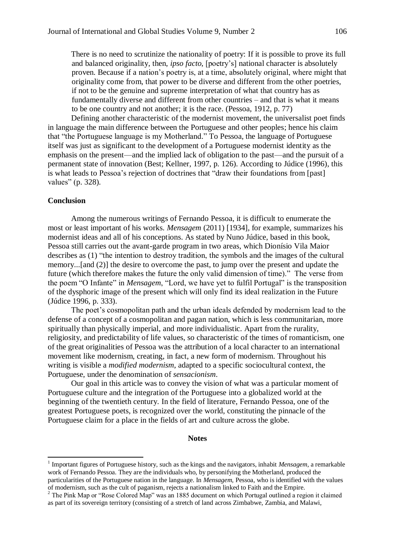There is no need to scrutinize the nationality of poetry: If it is possible to prove its full and balanced originality, then, *ipso facto*, [poetry's] national character is absolutely proven. Because if a nation's poetry is, at a time, absolutely original, where might that originality come from, that power to be diverse and different from the other poetries, if not to be the genuine and supreme interpretation of what that country has as fundamentally diverse and different from other countries – and that is what it means to be one country and not another; it is the race. (Pessoa, 1912, p. 77)

Defining another characteristic of the modernist movement, the universalist poet finds in language the main difference between the Portuguese and other peoples; hence his claim that "the Portuguese language is my Motherland." To Pessoa, the language of Portuguese itself was just as significant to the development of a Portuguese modernist identity as the emphasis on the present—and the implied lack of obligation to the past—and the pursuit of a permanent state of innovation (Best; Kellner, 1997, p. 126). According to Júdice (1996), this is what leads to Pessoa's rejection of doctrines that "draw their foundations from [past] values" (p. 328).

## **Conclusion**

1

Among the numerous writings of Fernando Pessoa, it is difficult to enumerate the most or least important of his works. *Mensagem* (2011) [1934], for example, summarizes his modernist ideas and all of his conceptions. As stated by Nuno Júdice, based in this book, Pessoa still carries out the avant-garde program in two areas, which Dionísio Vila Maior describes as (1) "the intention to destroy tradition, the symbols and the images of the cultural memory...[and (2)] the desire to overcome the past, to jump over the present and update the future (which therefore makes the future the only valid dimension of time)." The verse from the poem "O Infante" in *Mensagem*, "Lord, we have yet to fulfil Portugal" is the transposition of the dysphoric image of the present which will only find its ideal realization in the Future (Júdice 1996, p. 333).

The poet's cosmopolitan path and the urban ideals defended by modernism lead to the defense of a concept of a cosmopolitan and pagan nation, which is less communitarian, more spiritually than physically imperial, and more individualistic. Apart from the rurality, religiosity, and predictability of life values, so characteristic of the times of romanticism, one of the great originalities of Pessoa was the attribution of a local character to an international movement like modernism, creating, in fact, a new form of modernism. Throughout his writing is visible a *modified modernism*, adapted to a specific sociocultural context, the Portuguese, under the denomination of *sensacionism*.

Our goal in this article was to convey the vision of what was a particular moment of Portuguese culture and the integration of the Portuguese into a globalized world at the beginning of the twentieth century. In the field of literature, Fernando Pessoa, one of the greatest Portuguese poets, is recognized over the world, constituting the pinnacle of the Portuguese claim for a place in the fields of art and culture across the globe.

#### **Notes**

<sup>&</sup>lt;sup>1</sup> Important figures of Portuguese history, such as the kings and the navigators, inhabit *Mensagem*, a remarkable work of Fernando Pessoa. They are the individuals who, by personifying the Motherland, produced the particularities of the Portuguese nation in the language. In *Mensagem,* Pessoa, who is identified with the values of modernism, such as the cult of paganism, rejects a nationalism linked to Faith and the Empire.

 $2$  The Pink Map or "Rose Colored Map" was an 1885 document on which Portugal outlined a region it claimed as part of its sovereign territory (consisting of a stretch of land across Zimbabwe, Zambia, and Malawi,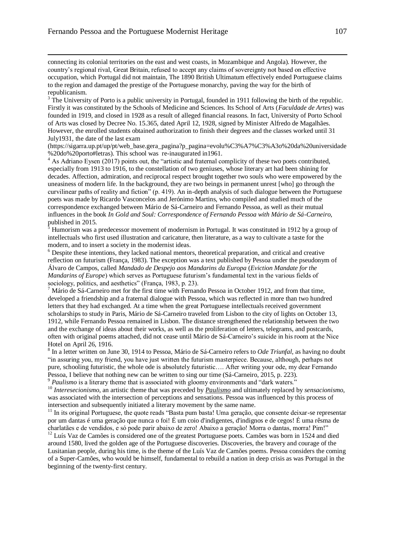1

connecting its colonial territories on the east and west coasts, in Mozambique and Angola). However, the country's regional rival, Great Britain, refused to accept any claims of sovereignty not based on effective occupation, which Portugal did not maintain, The 1890 British Ultimatum effectively ended Portuguese claims to the region and damaged the prestige of the Portuguese monarchy, paving the way for the birth of republicanism.

<sup>3</sup> The University of Porto is a public university in Portugal, founded in 1911 following the birth of the republic. Firstly it was constituted by the Schools of Medicine and Sciences. Its School of Arts (*Faculdade de Artes*) was founded in 1919, and closed in 1928 as a result of alleged financial reasons. In fact, University of Porto School of Arts was closed by Decree No. 15.365, dated April 12, 1928, signed by Minister Alfredo de Magalhães. However, the enrolled students obtained authorization to finish their degrees and the classes worked until 31 July1931, the date of the last exam

(https://sigarra.up.pt/up/pt/web\_base.gera\_pagina?p\_pagina=evolu%C3%A7%C3%A3o%20da%20universidade %20do%20porto#letras). This school was re-inaugurated in1961.

<sup>4</sup> As Adriano Eysen (2017) points out, the "artistic and fraternal complicity of these two poets contributed, especially from 1913 to 1916, to the constellation of two geniuses, whose literary art had been shining for decades. Affection, admiration, and reciprocal respect brought together two souls who were empowered by the uneasiness of modern life. In the background, they are two beings in permanent unrest [who] go through the curvilinear paths of reality and fiction" (p. 419). An in-depth analysis of such dialogue between the Portuguese poets was made by Ricardo Vasconcelos and Jerónimo Martins, who compiled and studied much of the correspondence exchanged between Mário de Sá-Carneiro and Fernando Pessoa, as well as their mutual influences in the book *In Gold and Soul: Correspondence of Fernando Pessoa with Mário de Sá-Carneiro*, published in 2015.

<sup>5</sup> Humorism was a predecessor movement of modernism in Portugal. It was constituted in 1912 by a group of intellectuals who first used illustration and caricature, then literature, as a way to cultivate a taste for the modern, and to insert a society in the modernist ideas.

<sup>6</sup> Despite these intentions, they lacked national mentors, theoretical preparation, and critical and creative reflection on futurism (França, 1983). The exception was a text published by Pessoa under the pseudonym of Álvaro de Campos, called *Mandado de Despejo aos Mandarins da Europa* (*Eviction Mandate for the Mandarins of Europe*) which serves as Portuguese futurism's fundamental text in the various fields of sociology, politics, and aesthetics" (França, 1983, p. 23).

<sup>7</sup> Mário de Sá-Carneiro met for the first time with Fernando Pessoa in October 1912, and from that time, developed a friendship and a fraternal dialogue with Pessoa, which was reflected in more than two hundred letters that they had exchanged. At a time when the great Portuguese intellectuals received government scholarships to study in Paris, Mário de Sá-Carneiro traveled from Lisbon to the city of lights on October 13, 1912, while Fernando Pessoa remained in Lisbon. The distance strengthened the relationship between the two and the exchange of ideas about their works, as well as the proliferation of letters, telegrams, and postcards, often with original poems attached, did not cease until Mário de Sá-Carneiro's suicide in his room at the Nice Hotel on April 26, 1916.

8 In a letter written on June 30, 1914 to Pessoa, Mário de Sá-Carneiro refers to *Ode Triunfal*, as having no doubt "in assuring you, my friend, you have just written the futurism masterpiece. Because, although, perhaps not pure, schooling futuristic, the whole ode is absolutely futuristic…. After writing your ode, my dear Fernando Pessoa, I believe that nothing new can be written to sing our time (Sá-Carneiro, 2015, p. 223). <sup>9</sup> Paulismo is a literary theme that is associated with gloomy environments and "dark waters."

<sup>10</sup> *Interesecionismo*, an artistic theme that was preceded by *Paulismo* and ultimately replaced by *sensacionismo*, was associated with the intersection of perceptions and sensations. Pessoa was influenced by this process of

intersection and subsequently initiated a literary movement by the same name.

<sup>11</sup> In its original Portuguese, the quote reads "Basta pum basta! Uma geração, que consente deixar-se representar por um dantas é uma geração que nunca o foi! É um coio d'indigentes, d'indignos e de cegos! É uma rêsma de charlatães e de vendidos, e só pode parir abaixo de zero! Abaixo a geração! Morra o dantas, morra! Pim!"

<sup>12</sup> Luís Vaz de Camões is considered one of the greatest Portuguese poets. Camões was born in 1524 and died around 1580, lived the golden age of the Portuguese discoveries. Discoveries, the bravery and courage of the Lusitanian people, during his time, is the theme of the Luís Vaz de Camões poems. Pessoa considers the coming of a Super-Camões, who would be himself, fundamental to rebuild a nation in deep crisis as was Portugal in the beginning of the twenty-first century.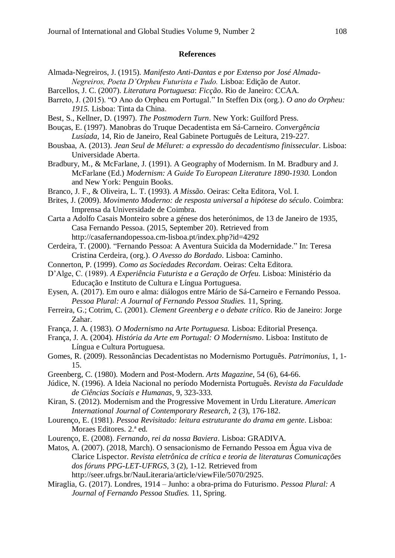## **References**

- Almada-Negreiros, J. (1915). *Manifesto Anti-Dantas e por Extenso por José Almada-Negreiros, Poeta D'Orpheu Futurista e Tudo.* Lisboa: Edição de Autor.
- Barcellos, J. C. (2007). *Literatura Portuguesa*: *Ficção*. Rio de Janeiro: CCAA.
- Barreto, J. (2015). "O Ano do Orpheu em Portugal." In Steffen Dix (org.). *O ano do Orpheu: 1915.* Lisboa: Tinta da China.
- Best, S., Kellner, D. (1997). *The Postmodern Turn*. New York: Guilford Press.
- Bouças, E. (1997). Manobras do Truque Decadentista em Sá-Carneiro. *Convergência Lusíada*, 14, Rio de Janeiro, Real Gabinete Português de Leitura, 219-227.
- Bousbaa, A. (2013). *Jean Seul de Méluret: a expressão do decadentismo finissecular*. Lisboa: Universidade Aberta.
- Bradbury, M., & McFarlane, J. (1991). A Geography of Modernism. In M. Bradbury and J. McFarlane (Ed.) *Modernism: A Guide To European Literature 1890-1930.* London and New York: Penguin Books.
- Branco, J. F., & Oliveira, L. T. (1993). *A Missão*. Oeiras: Celta Editora, Vol. I.
- Brites, J. (2009). *Movimento Moderno: de resposta universal a hipótese do século*. Coimbra: Imprensa da Universidade de Coimbra.
- Carta a Adolfo Casais Monteiro sobre a génese dos heterónimos, de 13 de Janeiro de 1935, Casa Fernando Pessoa. (2015, September 20). Retrieved from http://casafernandopessoa.cm-lisboa.pt/index.php?id=4292
- Cerdeira, T. (2000). "Fernando Pessoa: A Aventura Suicida da Modernidade." In: Teresa Cristina Cerdeira, (org.). *O Avesso do Bordado*. Lisboa: Caminho.
- Connerton, P. (1999). *Como as Sociedades Recordam*. Oeiras: Celta Editora.
- D'Alge, C. (1989). *A Experiência Futurista e a Geração de Orfeu.* Lisboa: Ministério da Educação e Instituto de Cultura e Língua Portuguesa.
- Eysen, A. (2017). Em ouro e alma: diálogos entre Mário de Sá-Carneiro e Fernando Pessoa. *Pessoa Plural: A Journal of Fernando Pessoa Studies.* 11, Spring.
- Ferreira, G.; Cotrim, C. (2001). *Clement Greenberg e o debate crítico*. Rio de Janeiro: Jorge Zahar.
- França, J. A. (1983). *O Modernismo na Arte Portuguesa.* Lisboa: Editorial Presença.
- França, J. A. (2004). *História da Arte em Portugal: O Modernismo*. Lisboa: Instituto de Língua e Cultura Portuguesa.
- Gomes, R. (2009). Ressonâncias Decadentistas no Modernismo Português. *Patrimonius*, 1, 1- 15.
- Greenberg, C. (1980). Modern and Post-Modern. *Arts Magazine*, 54 (6), 64-66.
- Júdice, N. (1996). A Ideia Nacional no período Modernista Português. *Revista da Faculdade de Ciências Sociais e Humanas*, 9, 323-333.
- Kiran, S. (2012). Modernism and the Progressive Movement in Urdu Literature. *American International Journal of Contemporary Research*, 2 (3), 176-182.
- Lourenço, E. (1981). *Pessoa Revisitado: leitura estruturante do drama em gente*. Lisboa: Moraes Editores. 2.ª ed.
- Lourenço, E. (2008). *Fernando, rei da nossa Baviera*. Lisboa: GRADIVA.
- Matos, A. (2007). (2018, March). O sensacionismo de Fernando Pessoa em Água viva de Clarice Lispector. *Revista eletrônica de crítica e teoria de literaturas Comunicações dos fóruns PPG-LET-UFRGS*, 3 (2), 1-12. Retrieved from http://seer.ufrgs.br/NauLiteraria/article/viewFile/5070/2925.
- Miraglia, G. (2017). Londres, 1914 Junho: a obra-prima do Futurismo. *Pessoa Plural: A Journal of Fernando Pessoa Studies.* 11, Spring.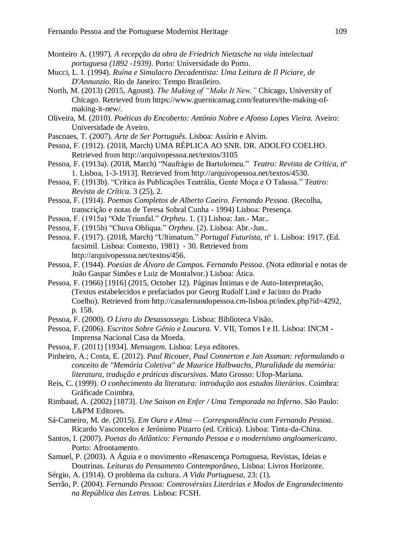- Monteiro A. (1997). *A recepção da obra de Friedrich Nietzsche na vida intelectual portuguesa (1892 -1939)*. Porto: Universidade do Porto.
- Mucci, L. I. (1994). *Ruína e Simulacro Decadentista: Uma Leitura de Il Piciare, de D'Annunzio*. Rio de Janeiro: Tempo Brasileiro.
- North, M. (2013) (2015, Agoust). *The Making of "Make It New,"* Chicago, University of Chicago. Retrieved from https://www.guernicamag.com/features/the-making-ofmaking-it-new/.
- Oliveira, M. (2010). *Poéticas do Encoberto: António Nobre e Afonso Lopes Vieira.* Aveiro: Universidade de Aveiro.
- Pascoaes, T. (2007). *Arte de Ser Português*. Lisboa: Assírio e Alvim.
- Pessoa, F. (1912). (2018, March) UMA RÉPLICA AO SNR. DR. ADOLFO COELHO. Retrieved from <http://arquivopessoa.net/textos/3105>
- Pessoa, F. (1913a). (2018, March) "Naufrágio de Bartolomeu." *Teatro: Revista de Crítica*, nº 1. Lisboa, 1-3-1913]. Retrieved from [http://arquivopessoa.net/textos/4530.](http://arquivopessoa.net/textos/4530)
- Pessoa, F. (1913b). "Crítica às Publicações Teatrália, Gente Moça e O Talassa." *Teatro: Revista de Crítica.* 3 (25), 2.
- Pessoa, F. (1914). *Poemas Completos de Alberto Caeiro. Fernando Pessoa*. (Recolha, transcrição e notas de Teresa Sobral Cunha - 1994) Lisboa: Presença.
- Pessoa, F. (1915a) "Ode Triunfal." *Orpheu*. 1. (1) Lisboa: Jan.- Mar..
- Pessoa, F. (1915b) "Chuva Oblíqua." *Orpheu.* (2). Lisboa: Abr.-Jun..
- Pessoa, F. (1917). (2018, March) "Ultimatum." *Portugal Futurista,* nº 1. Lisboa: 1917. (Ed. facsimil. Lisboa: Contexto, 1981) - 30. Retrieved from [http://arquivopessoa.net/textos/456.](http://arquivopessoa.net/textos/456)
- Pessoa, F. (1944). *Poesias de Álvaro de Campos. Fernando Pessoa*. (Nota editorial e notas de João Gaspar Simões e Luiz de Montalvor.) Lisboa: Ática.
- Pessoa, F. (1966) [1916] (2015, October 12). Páginas Íntimas e de Auto-Interpretação, (Textos estabelecidos e prefaciados por Georg Rudolf Lind e Jacinto do Prado Coelho). Retrieved from http://casafernandopessoa.cm-lisboa.pt/index.php?id=4292, p. 158.
- Pessoa, F. (2000). *O Livro do Desassossego.* Lisboa: Biblioteca Visão.
- Pessoa, F. (2006). *Escritos Sobre Génio e Loucura.* V. VII, Tomos I e II. Lisboa: INCM Imprensa Nacional Casa da Moeda.
- Pessoa, F. (2011) [1934]. *Mensagem*. Lisboa: Leya editores.
- Pinheiro, A.; Costa, E. (2012). *Paul Ricouer, Paul Connerton e Jan Assman: reformulando o conceito de "Memória Coletiva" de Maurice Halbwachs, Pluralidade da memória: literatura, tradução e práticas discursivas*. Mato Grosso: Ufop-Mariana.
- Reis, C. (1999). *O conhecimento da literatura: introdução aos estudos literários*. Coimbra: Gráficade Coimbra.
- Rimbaud, A. (2002) [1873]. *Une Saison en Enfer / Uma Temporada no Inferno*. São Paulo: L&PM Editores.
- Sá-Carneiro, M. de. (2015). *Em Ouro e Alma — Correspondência com Fernando Pessoa*. Ricardo Vasconcelos e Jerónimo Pizarro (ed. Crítica). Lisboa: Tinta-da-China.
- Santos, I. (2007). *Poetas do Atlântico: Fernando Pessoa e o modernismo angloamericano*. Porto: Afrontamento.
- Samuel, P. (2003). A Águia e o movimento «Renascença Portuguesa, Revistas, Ideias e Doutrinas. *Leituras do Pensamento Contemporâneo*, Lisboa: Livros Horizonte.
- Sérgio, A. (1914). O problema da cultura. *A Vida Portuguesa*, 23: (1).
- Serrão, P. (2004). *Fernando Pessoa: Controvérsias Literárias e Modos de Engrandecimento na República das Letras.* Lisboa: FCSH.